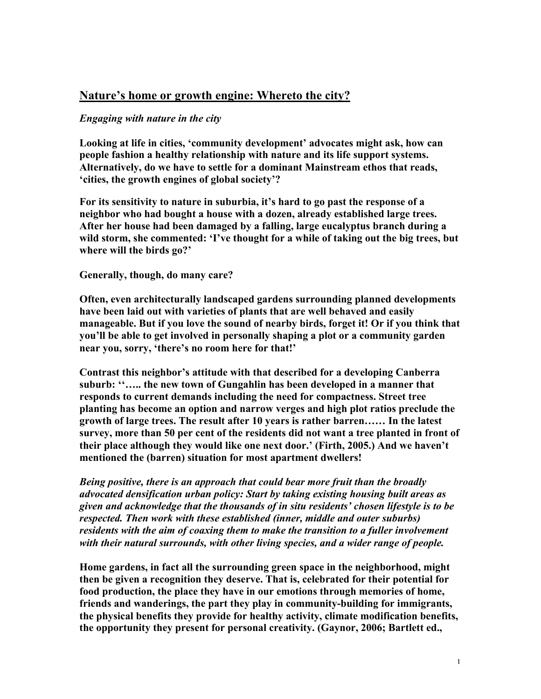# Nature's home or growth engine: Whereto the city?

## *Engaging with nature in the city*

Looking at life in cities, 'community development' advocates might ask, how can people fashion a healthy relationship with nature and its life support systems. Alternatively, do we have to settle for a dominant Mainstream ethos that reads, 'cities, the growth engines of global society'?

For its sensitivity to nature in suburbia, it's hard to go past the response of a neighbor who had bought a house with a dozen, already established large trees. After her house had been damaged by a falling, large eucalyptus branch during a wild storm, she commented: 'I've thought for a while of taking out the big trees, but where will the birds go?'

Generally, though, do many care?

Often, even architecturally landscaped gardens surrounding planned developments have been laid out with varieties of plants that are well behaved and easily manageable. But if you love the sound of nearby birds, forget it! Or if you think that you'll be able to get involved in personally shaping a plot or a community garden near you, sorry, 'there's no room here for that!'

Contrast this neighbor's attitude with that described for a developing Canberra suburb: "..... the new town of Gungahlin has been developed in a manner that responds to current demands including the need for compactness. Street tree planting has become an option and narrow verges and high plot ratios preclude the growth of large trees. The result after 10 years is rather barren…… In the latest survey, more than 50 per cent of the residents did not want a tree planted in front of their place although they would like one next door.' (Firth, 2005.) And we haven't mentioned the (barren) situation for most apartment dwellers!

*Being positive, there is an approach that could bear more fruit than the broadly advocated densification urban policy: Start by taking existing housing built areas as given and acknowledge that the thousands of in situ residents' chosen lifestyle is to be respected. Then work with these established (inner, middle and outer suburbs) residents with the aim of coaxing them to make the transition to a fuller involvement with their natural surrounds, with other living species, and a wider range of people.*

Home gardens, in fact all the surrounding green space in the neighborhood, might then be given a recognition they deserve. That is, celebrated for their potential for food production, the place they have in our emotions through memories of home, friends and wanderings, the part they play in community-building for immigrants, the physical benefits they provide for healthy activity, climate modification benefits, the opportunity they present for personal creativity. (Gaynor, 2006; Bartlett ed.,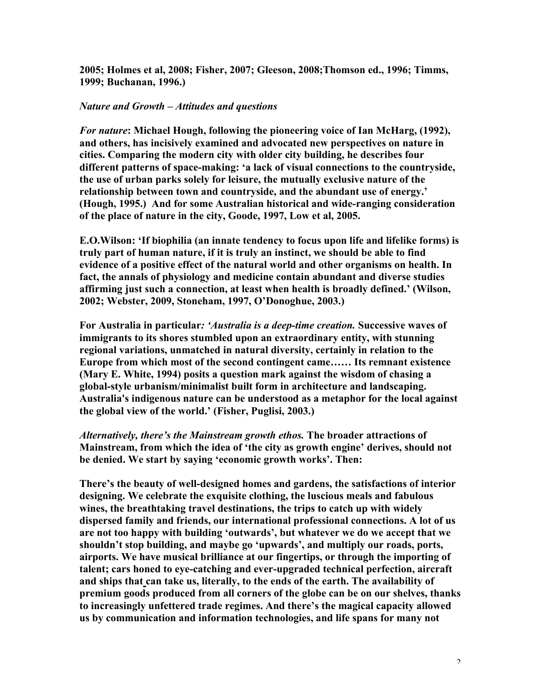2005; Holmes et al, 2008; Fisher, 2007; Gleeson, 2008;Thomson ed., 1996; Timms, 1999; Buchanan, 1996.)

#### *Nature and Growth – Attitudes and questions*

*For nature*: Michael Hough, following the pioneering voice of Ian McHarg, (1992), and others, has incisively examined and advocated new perspectives on nature in cities. Comparing the modern city with older city building, he describes four different patterns of space-making: 'a lack of visual connections to the countryside, the use of urban parks solely for leisure, the mutually exclusive nature of the relationship between town and countryside, and the abundant use of energy.' (Hough, 1995.) And for some Australian historical and wide-ranging consideration of the place of nature in the city, Goode, 1997, Low et al, 2005.

E.O.Wilson: 'If biophilia (an innate tendency to focus upon life and lifelike forms) is truly part of human nature, if it is truly an instinct, we should be able to find evidence of a positive effect of the natural world and other organisms on health. In fact, the annals of physiology and medicine contain abundant and diverse studies affirming just such a connection, at least when health is broadly defined.' (Wilson, 2002; Webster, 2009, Stoneham, 1997, O'Donoghue, 2003.)

For Australia in particular*: 'Australia is a deep-time creation.* Successive waves of immigrants to its shores stumbled upon an extraordinary entity, with stunning regional variations, unmatched in natural diversity, certainly in relation to the Europe from which most of the second contingent came…… Its remnant existence (Mary E. White, 1994) posits a question mark against the wisdom of chasing a global-style urbanism/minimalist built form in architecture and landscaping. Australia's indigenous nature can be understood as a metaphor for the local against the global view of the world.' (Fisher, Puglisi, 2003.)

*Alternatively, there's the Mainstream growth ethos.* The broader attractions of Mainstream, from which the idea of 'the city as growth engine' derives, should not be denied. We start by saying 'economic growth works'. Then:

There's the beauty of well-designed homes and gardens, the satisfactions of interior designing. We celebrate the exquisite clothing, the luscious meals and fabulous wines, the breathtaking travel destinations, the trips to catch up with widely dispersed family and friends, our international professional connections. A lot of us are not too happy with building 'outwards', but whatever we do we accept that we shouldn't stop building, and maybe go 'upwards', and multiply our roads, ports, airports. We have musical brilliance at our fingertips, or through the importing of talent; cars honed to eye-catching and ever-upgraded technical perfection, aircraft and ships that can take us, literally, to the ends of the earth. The availability of premium goods produced from all corners of the globe can be on our shelves, thanks to increasingly unfettered trade regimes. And there's the magical capacity allowed us by communication and information technologies, and life spans for many not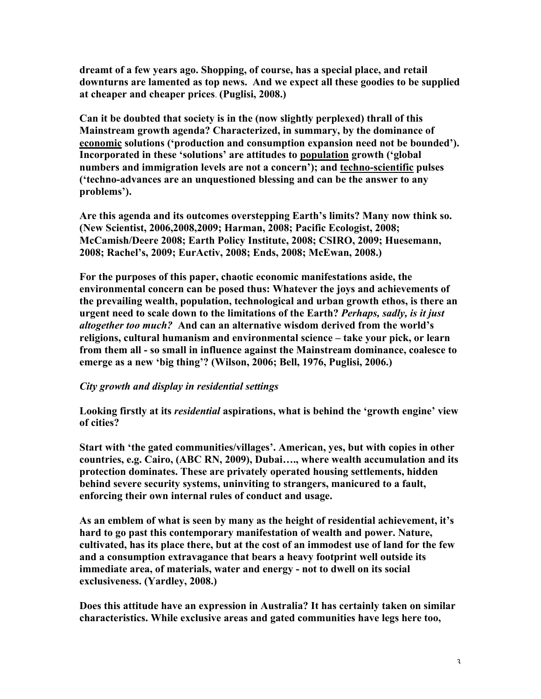dreamt of a few years ago. Shopping, of course, has a special place, and retail downturns are lamented as top news. And we expect all these goodies to be supplied at cheaper and cheaper prices. (Puglisi, 2008.)

Can it be doubted that society is in the (now slightly perplexed) thrall of this Mainstream growth agenda? Characterized, in summary, by the dominance of economic solutions ('production and consumption expansion need not be bounded'). Incorporated in these 'solutions' are attitudes to population growth ('global numbers and immigration levels are not a concern'); and techno-scientific pulses ('techno-advances are an unquestioned blessing and can be the answer to any problems').

Are this agenda and its outcomes overstepping Earth's limits? Many now think so. (New Scientist, 2006,2008,2009; Harman, 2008; Pacific Ecologist, 2008; McCamish/Deere 2008; Earth Policy Institute, 2008; CSIRO, 2009; Huesemann, 2008; Rachel's, 2009; EurActiv, 2008; Ends, 2008; McEwan, 2008.)

For the purposes of this paper, chaotic economic manifestations aside, the environmental concern can be posed thus: Whatever the joys and achievements of the prevailing wealth, population, technological and urban growth ethos, is there an urgent need to scale down to the limitations of the Earth? *Perhaps, sadly, is it just altogether too much?* And can an alternative wisdom derived from the world's religions, cultural humanism and environmental science – take your pick, or learn from them all - so small in influence against the Mainstream dominance, coalesce to emerge as a new 'big thing'? (Wilson, 2006; Bell, 1976, Puglisi, 2006.)

### *City growth and display in residential settings*

Looking firstly at its *residential* aspirations, what is behind the 'growth engine' view of cities?

Start with 'the gated communities/villages'. American, yes, but with copies in other countries, e.g. Cairo, (ABC RN, 2009), Dubai…., where wealth accumulation and its protection dominates. These are privately operated housing settlements, hidden behind severe security systems, uninviting to strangers, manicured to a fault, enforcing their own internal rules of conduct and usage.

As an emblem of what is seen by many as the height of residential achievement, it's hard to go past this contemporary manifestation of wealth and power. Nature, cultivated, has its place there, but at the cost of an immodest use of land for the few and a consumption extravagance that bears a heavy footprint well outside its immediate area, of materials, water and energy - not to dwell on its social exclusiveness. (Yardley, 2008.)

Does this attitude have an expression in Australia? It has certainly taken on similar characteristics. While exclusive areas and gated communities have legs here too,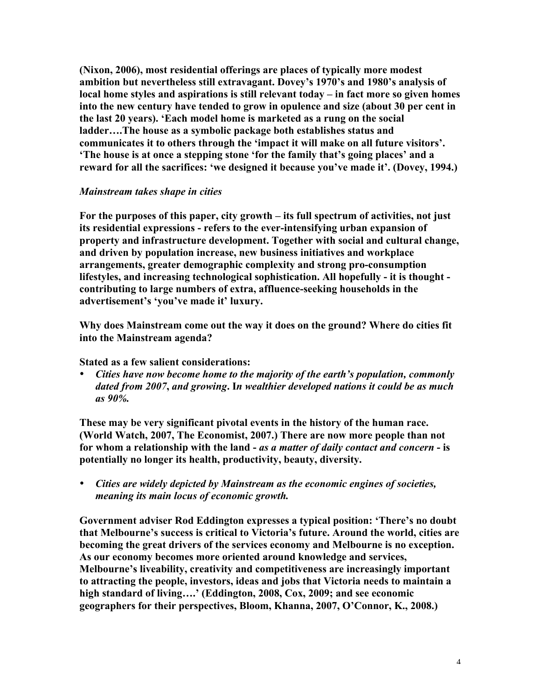(Nixon, 2006), most residential offerings are places of typically more modest ambition but nevertheless still extravagant. Dovey's 1970's and 1980's analysis of local home styles and aspirations is still relevant today – in fact more so given homes into the new century have tended to grow in opulence and size (about 30 per cent in the last 20 years). 'Each model home is marketed as a rung on the social ladder….The house as a symbolic package both establishes status and communicates it to others through the 'impact it will make on all future visitors'. 'The house is at once a stepping stone 'for the family that's going places' and a reward for all the sacrifices: 'we designed it because you've made it'. (Dovey, 1994.)

### *Mainstream takes shape in cities*

For the purposes of this paper, city growth – its full spectrum of activities, not just its residential expressions - refers to the ever-intensifying urban expansion of property and infrastructure development. Together with social and cultural change, and driven by population increase, new business initiatives and workplace arrangements, greater demographic complexity and strong pro-consumption lifestyles, and increasing technological sophistication. All hopefully - it is thought contributing to large numbers of extra, affluence-seeking households in the advertisement's 'you've made it' luxury.

Why does Mainstream come out the way it does on the ground? Where do cities fit into the Mainstream agenda?

Stated as a few salient considerations:

• *Cities have now become home to the majority of the earth's population, commonly dated from 2007*, *and growing*. I*n wealthier developed nations it could be as much as 90%.*

These may be very significant pivotal events in the history of the human race. (World Watch, 2007, The Economist, 2007.) There are now more people than not for whom a relationship with the land - *as a matter of daily contact and concern* - is potentially no longer its health, productivity, beauty, diversity.

• *Cities are widely depicted by Mainstream as the economic engines of societies, meaning its main locus of economic growth.*

Government adviser Rod Eddington expresses a typical position: 'There's no doubt that Melbourne's success is critical to Victoria's future. Around the world, cities are becoming the great drivers of the services economy and Melbourne is no exception. As our economy becomes more oriented around knowledge and services, Melbourne's liveability, creativity and competitiveness are increasingly important to attracting the people, investors, ideas and jobs that Victoria needs to maintain a high standard of living....' (Eddington, 2008, Cox, 2009; and see economic geographers for their perspectives, Bloom, Khanna, 2007, O'Connor, K., 2008.)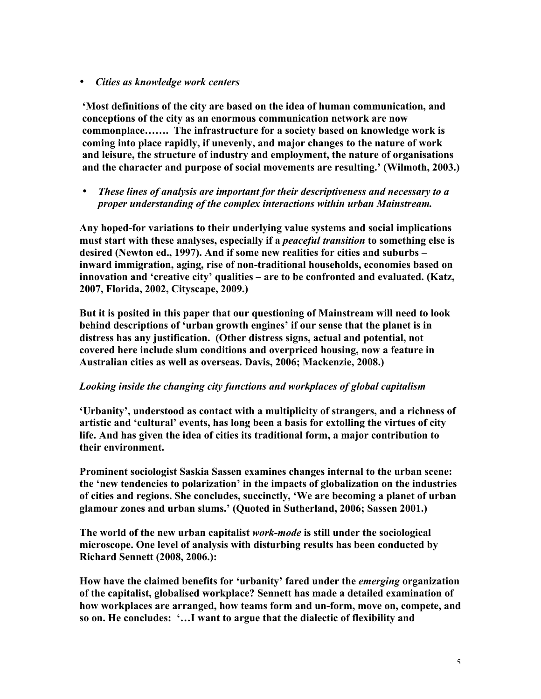### • *Cities as knowledge work centers*

'Most definitions of the city are based on the idea of human communication, and conceptions of the city as an enormous communication network are now commonplace……. The infrastructure for a society based on knowledge work is coming into place rapidly, if unevenly, and major changes to the nature of work and leisure, the structure of industry and employment, the nature of organisations and the character and purpose of social movements are resulting.' (Wilmoth, 2003.)

• *These lines of analysis are important for their descriptiveness and necessary to a proper understanding of the complex interactions within urban Mainstream.*

Any hoped-for variations to their underlying value systems and social implications must start with these analyses, especially if a *peaceful transition* to something else is desired (Newton ed., 1997). And if some new realities for cities and suburbs – inward immigration, aging, rise of non-traditional households, economies based on innovation and 'creative city' qualities – are to be confronted and evaluated. (Katz, 2007, Florida, 2002, Cityscape, 2009.)

But it is posited in this paper that our questioning of Mainstream will need to look behind descriptions of 'urban growth engines' if our sense that the planet is in distress has any justification. (Other distress signs, actual and potential, not covered here include slum conditions and overpriced housing, now a feature in Australian cities as well as overseas. Davis, 2006; Mackenzie, 2008.)

### *Looking inside the changing city functions and workplaces of global capitalism*

'Urbanity', understood as contact with a multiplicity of strangers, and a richness of artistic and 'cultural' events, has long been a basis for extolling the virtues of city life. And has given the idea of cities its traditional form, a major contribution to their environment.

Prominent sociologist Saskia Sassen examines changes internal to the urban scene: the 'new tendencies to polarization' in the impacts of globalization on the industries of cities and regions. She concludes, succinctly, 'We are becoming a planet of urban glamour zones and urban slums.' (Quoted in Sutherland, 2006; Sassen 2001.)

The world of the new urban capitalist *work-mode* is still under the sociological microscope. One level of analysis with disturbing results has been conducted by Richard Sennett (2008, 2006.):

How have the claimed benefits for 'urbanity' fared under the *emerging* organization of the capitalist, globalised workplace? Sennett has made a detailed examination of how workplaces are arranged, how teams form and un-form, move on, compete, and so on. He concludes: '…I want to argue that the dialectic of flexibility and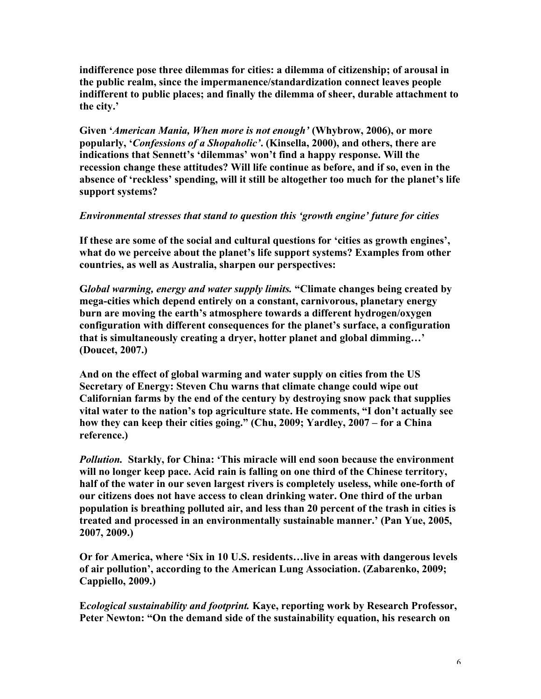indifference pose three dilemmas for cities: a dilemma of citizenship; of arousal in the public realm, since the impermanence/standardization connect leaves people indifferent to public places; and finally the dilemma of sheer, durable attachment to the city.'

Given '*American Mania, When more is not enough'* (Whybrow, 2006), or more popularly, '*Confessions of a Shopaholic'*. (Kinsella, 2000), and others, there are indications that Sennett's 'dilemmas' won't find a happy response. Will the recession change these attitudes? Will life continue as before, and if so, even in the absence of 'reckless' spending, will it still be altogether too much for the planet's life support systems?

### *Environmental stresses that stand to question this 'growth engine' future for cities*

If these are some of the social and cultural questions for 'cities as growth engines', what do we perceive about the planet's life support systems? Examples from other countries, as well as Australia, sharpen our perspectives:

G*lobal warming, energy and water supply limits.* "Climate changes being created by mega-cities which depend entirely on a constant, carnivorous, planetary energy burn are moving the earth's atmosphere towards a different hydrogen/oxygen configuration with different consequences for the planet's surface, a configuration that is simultaneously creating a dryer, hotter planet and global dimming…' (Doucet, 2007.)

And on the effect of global warming and water supply on cities from the US Secretary of Energy: Steven Chu warns that climate change could wipe out Californian farms by the end of the century by destroying snow pack that supplies vital water to the nation's top agriculture state. He comments, "I don't actually see how they can keep their cities going." (Chu, 2009; Yardley, 2007 – for a China reference.)

*Pollution.* Starkly, for China: 'This miracle will end soon because the environment will no longer keep pace. Acid rain is falling on one third of the Chinese territory, half of the water in our seven largest rivers is completely useless, while one-forth of our citizens does not have access to clean drinking water. One third of the urban population is breathing polluted air, and less than 20 percent of the trash in cities is treated and processed in an environmentally sustainable manner.' (Pan Yue, 2005, 2007, 2009.)

Or for America, where 'Six in 10 U.S. residents…live in areas with dangerous levels of air pollution', according to the American Lung Association. (Zabarenko, 2009; Cappiello, 2009.)

E*cological sustainability and footprint.* Kaye, reporting work by Research Professor, Peter Newton: "On the demand side of the sustainability equation, his research on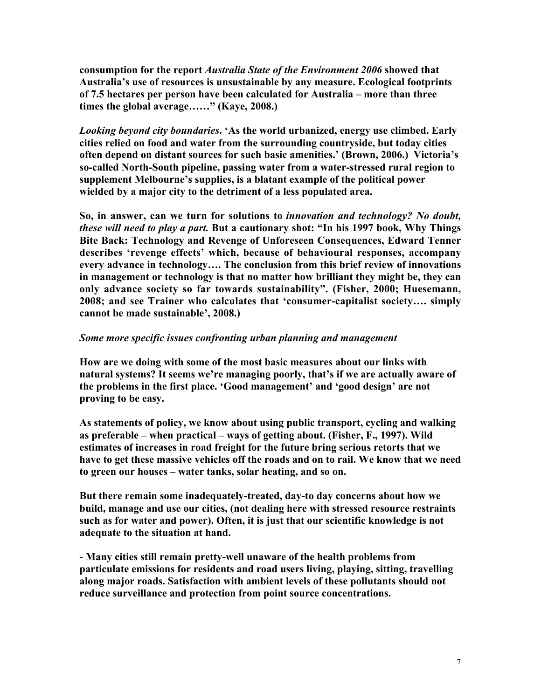consumption for the report *Australia State of the Environment 2006* showed that Australia's use of resources is unsustainable by any measure. Ecological footprints of 7.5 hectares per person have been calculated for Australia – more than three times the global average……" (Kaye, 2008.)

*Looking beyond city boundaries*. 'As the world urbanized, energy use climbed. Early cities relied on food and water from the surrounding countryside, but today cities often depend on distant sources for such basic amenities.' (Brown, 2006.) Victoria's so-called North-South pipeline, passing water from a water-stressed rural region to supplement Melbourne's supplies, is a blatant example of the political power wielded by a major city to the detriment of a less populated area.

So, in answer, can we turn for solutions to *innovation and technology? No doubt, these will need to play a part.* But a cautionary shot: "In his 1997 book, Why Things Bite Back: Technology and Revenge of Unforeseen Consequences, Edward Tenner describes 'revenge effects' which, because of behavioural responses, accompany every advance in technology…. The conclusion from this brief review of innovations in management or technology is that no matter how brilliant they might be, they can only advance society so far towards sustainability". (Fisher, 2000; Huesemann, 2008; and see Trainer who calculates that 'consumer-capitalist society…. simply cannot be made sustainable', 2008.)

### *Some more specific issues confronting urban planning and management*

How are we doing with some of the most basic measures about our links with natural systems? It seems we're managing poorly, that's if we are actually aware of the problems in the first place. 'Good management' and 'good design' are not proving to be easy.

As statements of policy, we know about using public transport, cycling and walking as preferable – when practical – ways of getting about. (Fisher, F., 1997). Wild estimates of increases in road freight for the future bring serious retorts that we have to get these massive vehicles off the roads and on to rail. We know that we need to green our houses – water tanks, solar heating, and so on.

But there remain some inadequately-treated, day-to day concerns about how we build, manage and use our cities, (not dealing here with stressed resource restraints such as for water and power). Often, it is just that our scientific knowledge is not adequate to the situation at hand.

- Many cities still remain pretty-well unaware of the health problems from particulate emissions for residents and road users living, playing, sitting, travelling along major roads. Satisfaction with ambient levels of these pollutants should not reduce surveillance and protection from point source concentrations.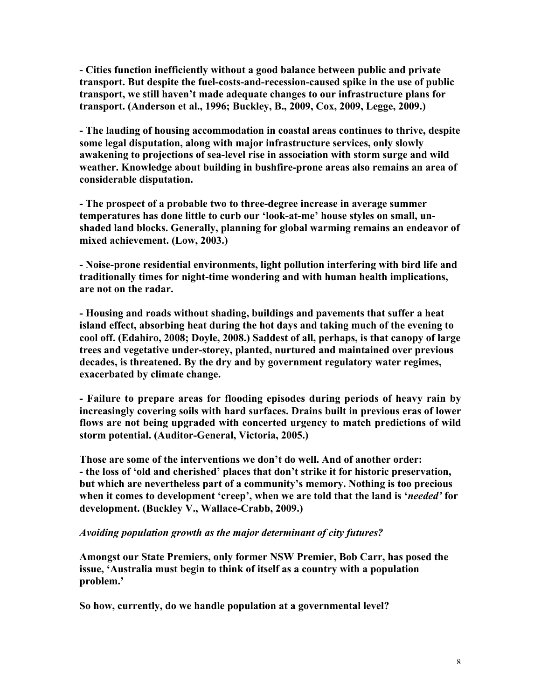- Cities function inefficiently without a good balance between public and private transport. But despite the fuel-costs-and-recession-caused spike in the use of public transport, we still haven't made adequate changes to our infrastructure plans for transport. (Anderson et al., 1996; Buckley, B., 2009, Cox, 2009, Legge, 2009.)

- The lauding of housing accommodation in coastal areas continues to thrive, despite some legal disputation, along with major infrastructure services, only slowly awakening to projections of sea-level rise in association with storm surge and wild weather. Knowledge about building in bushfire-prone areas also remains an area of considerable disputation.

- The prospect of a probable two to three-degree increase in average summer temperatures has done little to curb our 'look-at-me' house styles on small, unshaded land blocks. Generally, planning for global warming remains an endeavor of mixed achievement. (Low, 2003.)

- Noise-prone residential environments, light pollution interfering with bird life and traditionally times for night-time wondering and with human health implications, are not on the radar.

- Housing and roads without shading, buildings and pavements that suffer a heat island effect, absorbing heat during the hot days and taking much of the evening to cool off. (Edahiro, 2008; Doyle, 2008.) Saddest of all, perhaps, is that canopy of large trees and vegetative under-storey, planted, nurtured and maintained over previous decades, is threatened. By the dry and by government regulatory water regimes, exacerbated by climate change.

- Failure to prepare areas for flooding episodes during periods of heavy rain by increasingly covering soils with hard surfaces. Drains built in previous eras of lower flows are not being upgraded with concerted urgency to match predictions of wild storm potential. (Auditor-General, Victoria, 2005.)

Those are some of the interventions we don't do well. And of another order: - the loss of 'old and cherished' places that don't strike it for historic preservation, but which are nevertheless part of a community's memory. Nothing is too precious when it comes to development 'creep', when we are told that the land is '*needed'* for development. (Buckley V., Wallace-Crabb, 2009.)

### *Avoiding population growth as the major determinant of city futures?*

Amongst our State Premiers, only former NSW Premier, Bob Carr, has posed the issue, 'Australia must begin to think of itself as a country with a population problem.'

So how, currently, do we handle population at a governmental level?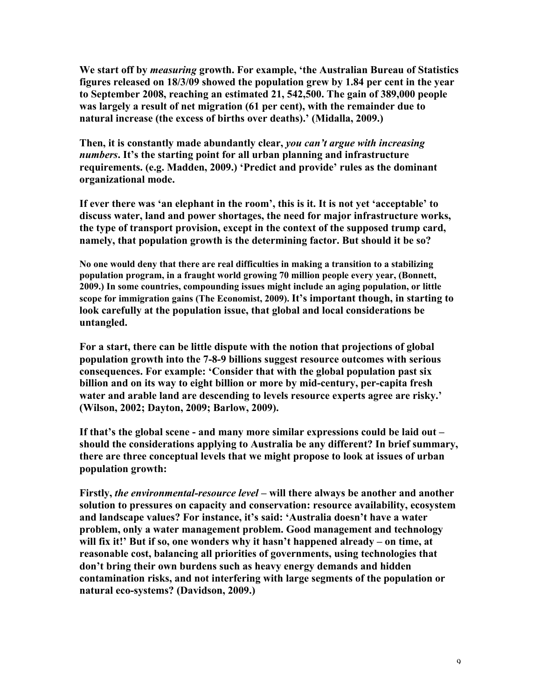We start off by *measuring* growth. For example, 'the Australian Bureau of Statistics figures released on 18/3/09 showed the population grew by 1.84 per cent in the year to September 2008, reaching an estimated 21, 542,500. The gain of 389,000 people was largely a result of net migration (61 per cent), with the remainder due to natural increase (the excess of births over deaths).' (Midalla, 2009.)

Then, it is constantly made abundantly clear, *you can't argue with increasing numbers*. It's the starting point for all urban planning and infrastructure requirements. (e.g. Madden, 2009.) 'Predict and provide' rules as the dominant organizational mode.

If ever there was 'an elephant in the room', this is it. It is not yet 'acceptable' to discuss water, land and power shortages, the need for major infrastructure works, the type of transport provision, except in the context of the supposed trump card, namely, that population growth is the determining factor. But should it be so?

No one would deny that there are real difficulties in making a transition to a stabilizing population program, in a fraught world growing 70 million people every year, (Bonnett, 2009.) In some countries, compounding issues might include an aging population, or little scope for immigration gains (The Economist, 2009). It's important though, in starting to look carefully at the population issue, that global and local considerations be untangled.

For a start, there can be little dispute with the notion that projections of global population growth into the 7-8-9 billions suggest resource outcomes with serious consequences. For example: 'Consider that with the global population past six billion and on its way to eight billion or more by mid-century, per-capita fresh water and arable land are descending to levels resource experts agree are risky.' (Wilson, 2002; Dayton, 2009; Barlow, 2009).

If that's the global scene - and many more similar expressions could be laid out – should the considerations applying to Australia be any different? In brief summary, there are three conceptual levels that we might propose to look at issues of urban population growth:

Firstly, *the environmental-resource level* – will there always be another and another solution to pressures on capacity and conservation: resource availability, ecosystem and landscape values? For instance, it's said: 'Australia doesn't have a water problem, only a water management problem. Good management and technology will fix it!' But if so, one wonders why it hasn't happened already – on time, at reasonable cost, balancing all priorities of governments, using technologies that don't bring their own burdens such as heavy energy demands and hidden contamination risks, and not interfering with large segments of the population or natural eco-systems? (Davidson, 2009.)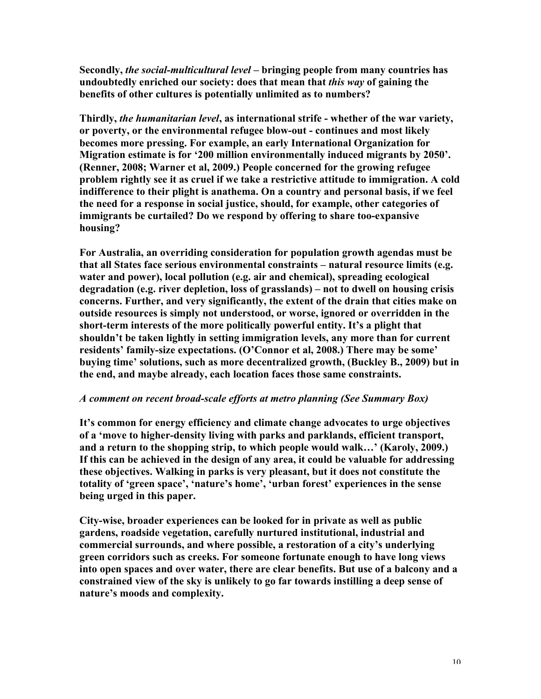Secondly, *the social-multicultural level* – bringing people from many countries has undoubtedly enriched our society: does that mean that *this way* of gaining the benefits of other cultures is potentially unlimited as to numbers?

Thirdly, *the humanitarian level*, as international strife - whether of the war variety, or poverty, or the environmental refugee blow-out - continues and most likely becomes more pressing. For example, an early International Organization for Migration estimate is for '200 million environmentally induced migrants by 2050'. (Renner, 2008; Warner et al, 2009.) People concerned for the growing refugee problem rightly see it as cruel if we take a restrictive attitude to immigration. A cold indifference to their plight is anathema. On a country and personal basis, if we feel the need for a response in social justice, should, for example, other categories of immigrants be curtailed? Do we respond by offering to share too-expansive housing?

For Australia, an overriding consideration for population growth agendas must be that all States face serious environmental constraints – natural resource limits (e.g. water and power), local pollution (e.g. air and chemical), spreading ecological degradation (e.g. river depletion, loss of grasslands) – not to dwell on housing crisis concerns. Further, and very significantly, the extent of the drain that cities make on outside resources is simply not understood, or worse, ignored or overridden in the short-term interests of the more politically powerful entity. It's a plight that shouldn't be taken lightly in setting immigration levels, any more than for current residents' family-size expectations. (O'Connor et al, 2008.) There may be some' buying time' solutions, such as more decentralized growth, (Buckley B., 2009) but in the end, and maybe already, each location faces those same constraints.

### *A comment on recent broad-scale efforts at metro planning (See Summary Box)*

It's common for energy efficiency and climate change advocates to urge objectives of a 'move to higher-density living with parks and parklands, efficient transport, and a return to the shopping strip, to which people would walk…' (Karoly, 2009.) If this can be achieved in the design of any area, it could be valuable for addressing these objectives. Walking in parks is very pleasant, but it does not constitute the totality of 'green space', 'nature's home', 'urban forest' experiences in the sense being urged in this paper.

City-wise, broader experiences can be looked for in private as well as public gardens, roadside vegetation, carefully nurtured institutional, industrial and commercial surrounds, and where possible, a restoration of a city's underlying green corridors such as creeks. For someone fortunate enough to have long views into open spaces and over water, there are clear benefits. But use of a balcony and a constrained view of the sky is unlikely to go far towards instilling a deep sense of nature's moods and complexity.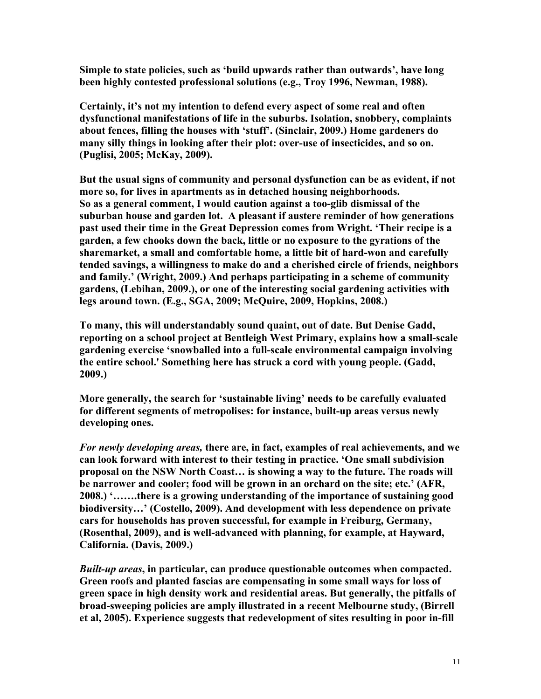Simple to state policies, such as 'build upwards rather than outwards', have long been highly contested professional solutions (e.g., Troy 1996, Newman, 1988).

Certainly, it's not my intention to defend every aspect of some real and often dysfunctional manifestations of life in the suburbs. Isolation, snobbery, complaints about fences, filling the houses with 'stuff'. (Sinclair, 2009.) Home gardeners do many silly things in looking after their plot: over-use of insecticides, and so on. (Puglisi, 2005; McKay, 2009).

But the usual signs of community and personal dysfunction can be as evident, if not more so, for lives in apartments as in detached housing neighborhoods. So as a general comment, I would caution against a too-glib dismissal of the suburban house and garden lot. A pleasant if austere reminder of how generations past used their time in the Great Depression comes from Wright. 'Their recipe is a garden, a few chooks down the back, little or no exposure to the gyrations of the sharemarket, a small and comfortable home, a little bit of hard-won and carefully tended savings, a willingness to make do and a cherished circle of friends, neighbors and family.' (Wright, 2009.) And perhaps participating in a scheme of community gardens, (Lebihan, 2009.), or one of the interesting social gardening activities with legs around town. (E.g., SGA, 2009; McQuire, 2009, Hopkins, 2008.)

To many, this will understandably sound quaint, out of date. But Denise Gadd, reporting on a school project at Bentleigh West Primary, explains how a small-scale gardening exercise 'snowballed into a full-scale environmental campaign involving the entire school.' Something here has struck a cord with young people. (Gadd, 2009.)

More generally, the search for 'sustainable living' needs to be carefully evaluated for different segments of metropolises: for instance, built-up areas versus newly developing ones.

*For newly developing areas,* there are, in fact, examples of real achievements, and we can look forward with interest to their testing in practice. 'One small subdivision proposal on the NSW North Coast… is showing a way to the future. The roads will be narrower and cooler; food will be grown in an orchard on the site; etc.' (AFR, 2008.) '…….there is a growing understanding of the importance of sustaining good biodiversity…' (Costello, 2009). And development with less dependence on private cars for households has proven successful, for example in Freiburg, Germany, (Rosenthal, 2009), and is well-advanced with planning, for example, at Hayward, California. (Davis, 2009.)

*Built-up areas*, in particular, can produce questionable outcomes when compacted. Green roofs and planted fascias are compensating in some small ways for loss of green space in high density work and residential areas. But generally, the pitfalls of broad-sweeping policies are amply illustrated in a recent Melbourne study, (Birrell et al, 2005). Experience suggests that redevelopment of sites resulting in poor in-fill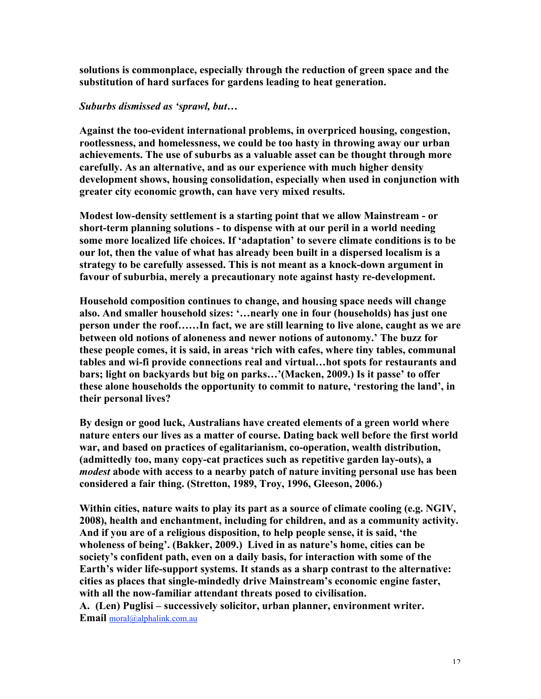solutions is commonplace, especially through the reduction of green space and the substitution of hard surfaces for gardens leading to heat generation.

### *Suburbs dismissed as 'sprawl, but…*

Against the too-evident international problems, in overpriced housing, congestion, rootlessness, and homelessness, we could be too hasty in throwing away our urban achievements. The use of suburbs as a valuable asset can be thought through more carefully. As an alternative, and as our experience with much higher density development shows, housing consolidation, especially when used in conjunction with greater city economic growth, can have very mixed results.

Modest low-density settlement is a starting point that we allow Mainstream - or short-term planning solutions - to dispense with at our peril in a world needing some more localized life choices. If 'adaptation' to severe climate conditions is to be our lot, then the value of what has already been built in a dispersed localism is a strategy to be carefully assessed. This is not meant as a knock-down argument in favour of suburbia, merely a precautionary note against hasty re-development.

Household composition continues to change, and housing space needs will change also. And smaller household sizes: '…nearly one in four (households) has just one person under the roof……In fact, we are still learning to live alone, caught as we are between old notions of aloneness and newer notions of autonomy.' The buzz for these people comes, it is said, in areas 'rich with cafes, where tiny tables, communal tables and wi-fi provide connections real and virtual…hot spots for restaurants and bars; light on backyards but big on parks…'(Macken, 2009.) Is it passe' to offer these alone households the opportunity to commit to nature, 'restoring the land', in their personal lives?

By design or good luck, Australians have created elements of a green world where nature enters our lives as a matter of course. Dating back well before the first world war, and based on practices of egalitarianism, co-operation, wealth distribution, (admittedly too, many copy-cat practices such as repetitive garden lay-outs), a *modest* abode with access to a nearby patch of nature inviting personal use has been considered a fair thing. (Stretton, 1989, Troy, 1996, Gleeson, 2006.)

Within cities, nature waits to play its part as a source of climate cooling (e.g. NGIV, 2008), health and enchantment, including for children, and as a community activity. And if you are of a religious disposition, to help people sense, it is said, 'the wholeness of being'. (Bakker, 2009.) Lived in as nature's home, cities can be society's confident path, even on a daily basis, for interaction with some of the Earth's wider life-support systems. It stands as a sharp contrast to the alternative: cities as places that single-mindedly drive Mainstream's economic engine faster, with all the now-familiar attendant threats posed to civilisation. A. (Len) Puglisi – successively solicitor, urban planner, environment writer.

Email moral@alphalink.com.au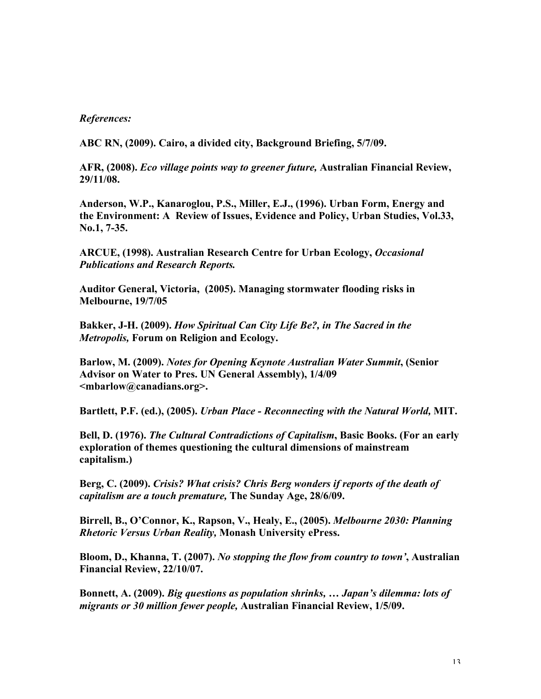### *References:*

ABC RN, (2009). Cairo, a divided city, Background Briefing, 5/7/09.

AFR, (2008). *Eco village points way to greener future,* Australian Financial Review, 29/11/08.

Anderson, W.P., Kanaroglou, P.S., Miller, E.J., (1996). Urban Form, Energy and the Environment: A Review of Issues, Evidence and Policy, Urban Studies, Vol.33, No.1, 7-35.

ARCUE, (1998). Australian Research Centre for Urban Ecology, *Occasional Publications and Research Reports.*

Auditor General, Victoria, (2005). Managing stormwater flooding risks in Melbourne, 19/7/05

Bakker, J-H. (2009). *How Spiritual Can City Life Be?, in The Sacred in the Metropolis,* Forum on Religion and Ecology.

Barlow, M. (2009). *Notes for Opening Keynote Australian Water Summit*, (Senior Advisor on Water to Pres. UN General Assembly), 1/4/09 <mbarlow@canadians.org>.

Bartlett, P.F. (ed.), (2005). *Urban Place - Reconnecting with the Natural World,* MIT.

Bell, D. (1976). *The Cultural Contradictions of Capitalism*, Basic Books. (For an early exploration of themes questioning the cultural dimensions of mainstream capitalism.)

Berg, C. (2009). *Crisis? What crisis? Chris Berg wonders if reports of the death of capitalism are a touch premature,* The Sunday Age, 28/6/09.

Birrell, B., O'Connor, K., Rapson, V., Healy, E., (2005). *Melbourne 2030: Planning Rhetoric Versus Urban Reality,* Monash University ePress.

Bloom, D., Khanna, T. (2007). *No stopping the flow from country to town'*, Australian Financial Review, 22/10/07.

Bonnett, A. (2009). *Big questions as population shrinks, … Japan's dilemma: lots of migrants or 30 million fewer people,* Australian Financial Review, 1/5/09.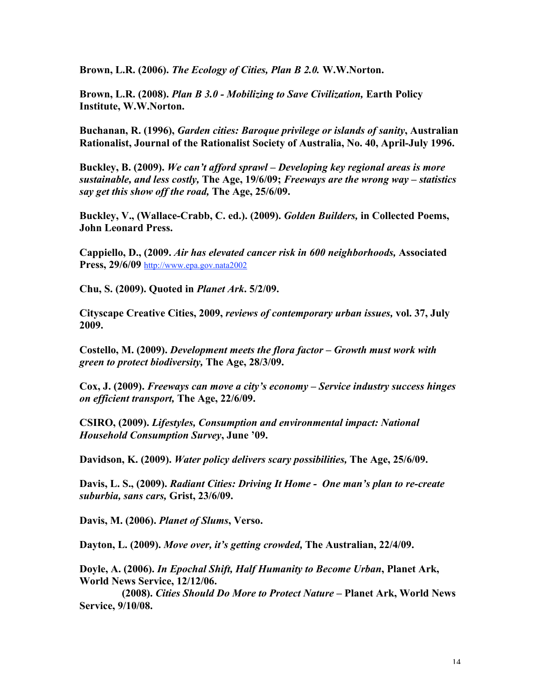Brown, L.R. (2006). *The Ecology of Cities, Plan B 2.0.* W.W.Norton.

Brown, L.R. (2008). *Plan B 3.0 - Mobilizing to Save Civilization,* Earth Policy Institute, W.W.Norton.

Buchanan, R. (1996), *Garden cities: Baroque privilege or islands of sanity*, Australian Rationalist, Journal of the Rationalist Society of Australia, No. 40, April-July 1996.

Buckley, B. (2009). *We can't afford sprawl – Developing key regional areas is more sustainable, and less costly,* The Age, 19/6/09; *Freeways are the wrong way – statistics say get this show off the road,* The Age, 25/6/09.

Buckley, V., (Wallace-Crabb, C. ed.). (2009). *Golden Builders,* in Collected Poems, John Leonard Press.

Cappiello, D., (2009. *Air has elevated cancer risk in 600 neighborhoods,* Associated Press, 29/6/09 http://www.epa.gov.nata2002

Chu, S. (2009). Quoted in *Planet Ark*. 5/2/09.

Cityscape Creative Cities, 2009, *reviews of contemporary urban issues,* vol. 37, July 2009.

Costello, M. (2009). *Development meets the flora factor – Growth must work with green to protect biodiversity,* The Age, 28/3/09.

Cox, J. (2009). *Freeways can move a city's economy – Service industry success hinges on efficient transport,* The Age, 22/6/09.

CSIRO, (2009). *Lifestyles, Consumption and environmental impact: National Household Consumption Survey*, June '09.

Davidson, K. (2009). *Water policy delivers scary possibilities,* The Age, 25/6/09.

Davis, L. S., (2009). *Radiant Cities: Driving It Home - One man's plan to re-create suburbia, sans cars,* Grist, 23/6/09.

Davis, M. (2006). *Planet of Slums*, Verso.

Dayton, L. (2009). *Move over, it's getting crowded,* The Australian, 22/4/09.

Doyle, A. (2006). *In Epochal Shift, Half Humanity to Become Urban*, Planet Ark, World News Service, 12/12/06.

 (2008). *Cities Should Do More to Protect Nature –* Planet Ark, World News Service, 9/10/08.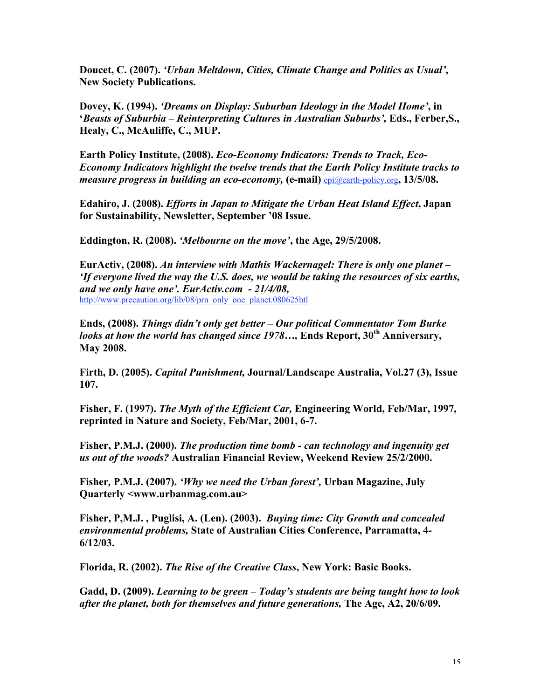Doucet, C. (2007). *'Urban Meltdown, Cities, Climate Change and Politics as Usual'*, New Society Publications.

Dovey, K. (1994). *'Dreams on Display: Suburban Ideology in the Model Home'*, in '*Beasts of Suburbia – Reinterpreting Cultures in Australian Suburbs',* Eds., Ferber,S., Healy, C., McAuliffe, C., MUP.

Earth Policy Institute, (2008). *Eco-Economy Indicators: Trends to Track, Eco-Economy Indicators highlight the twelve trends that the Earth Policy Institute tracks to measure progress in building an eco-economy,* (e-mail) epi@earth-policy.org, 13/5/08.

Edahiro, J. (2008). *Efforts in Japan to Mitigate the Urban Heat Island Effect*, Japan for Sustainability, Newsletter, September '08 Issue.

Eddington, R. (2008). *'Melbourne on the move'*, the Age, 29/5/2008.

EurActiv, (2008). *An interview with Mathis Wackernagel: There is only one planet – 'If everyone lived the way the U.S. does, we would be taking the resources of six earths, and we only have one'. EurActiv.com - 21/4/08,* http://www.precaution.org/lib/08/prn\_only\_one\_planet.080625htl

Ends, (2008). *Things didn't only get better – Our political Commentator Tom Burke looks at how the world has changed since 1978...*, Ends Report, 30<sup>th</sup> Anniversary, May 2008.

Firth, D. (2005). *Capital Punishment,* Journal/Landscape Australia, Vol.27 (3), Issue 107.

Fisher, F. (1997). *The Myth of the Efficient Car,* Engineering World, Feb/Mar, 1997, reprinted in Nature and Society, Feb/Mar, 2001, 6-7.

Fisher, P.M.J. (2000). *The production time bomb - can technology and ingenuity get us out of the woods?* Australian Financial Review, Weekend Review 25/2/2000.

Fisher*,* P.M.J. (2007). *'Why we need the Urban forest',* Urban Magazine, July Quarterly <www.urbanmag.com.au>

Fisher, P,M.J. , Puglisi, A. (Len). (2003). *Buying time: City Growth and concealed environmental problems,* State of Australian Cities Conference, Parramatta, 4- 6/12/03.

Florida, R. (2002). *The Rise of the Creative Class*, New York: Basic Books.

Gadd, D. (2009). *Learning to be green – Today's students are being taught how to look after the planet, both for themselves and future generations,* The Age, A2, 20/6/09.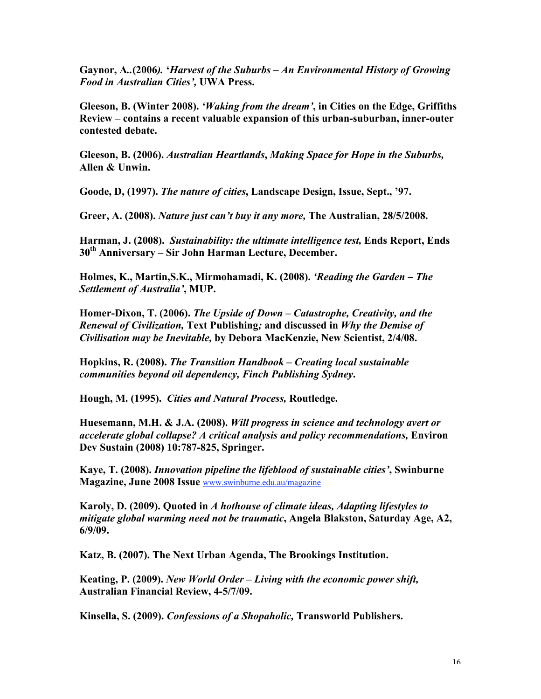Gaynor, A*..*(2006*).* '*Harvest of the Suburbs – An Environmental History of Growing Food in Australian Cities',* UWA Press.

Gleeson, B. (Winter 2008). *'Waking from the dream'*, in Cities on the Edge, Griffiths Review – contains a recent valuable expansion of this urban-suburban, inner-outer contested debate.

Gleeson, B. (2006). *Australian Heartlands*, *Making Space for Hope in the Suburbs,* Allen & Unwin.

Goode, D, (1997). *The nature of cities*, Landscape Design, Issue, Sept., '97.

Greer, A. (2008). *Nature just can't buy it any more,* The Australian, 28/5/2008.

Harman, J. (2008). *Sustainability: the ultimate intelligence test,* Ends Report, Ends  $30<sup>th</sup>$  Anniversary – Sir John Harman Lecture, December.

Holmes, K., Martin,S.K., Mirmohamadi, K. (2008). *'Reading the Garden – The Settlement of Australia'*, MUP.

Homer-Dixon, T. (2006). *The Upside of Down – Catastrophe, Creativity, and the Renewal of Civilization,* Text Publishing*;* and discussed in *Why the Demise of Civilisation may be Inevitable,* by Debora MacKenzie, New Scientist, 2/4/08.

Hopkins, R. (2008). *The Transition Handbook – Creating local sustainable communities beyond oil dependency, Finch Publishing Sydney*.

Hough, M. (1995). *Cities and Natural Process,* Routledge.

Huesemann, M.H. & J.A. (2008). *Will progress in science and technology avert or accelerate global collapse? A critical analysis and policy recommendations,* Environ Dev Sustain (2008) 10:787-825, Springer.

Kaye, T. (2008). *Innovation pipeline the lifeblood of sustainable cities'*, Swinburne Magazine, June 2008 Issue www.swinburne.edu.au/magazine

Karoly, D. (2009). Quoted in *A hothouse of climate ideas, Adapting lifestyles to mitigate global warming need not be traumatic*, Angela Blakston, Saturday Age, A2, 6/9/09.

Katz, B. (2007). The Next Urban Agenda, The Brookings Institution.

Keating, P. (2009). *New World Order – Living with the economic power shift,* Australian Financial Review, 4-5/7/09.

Kinsella, S. (2009). *Confessions of a Shopaholic,* Transworld Publishers.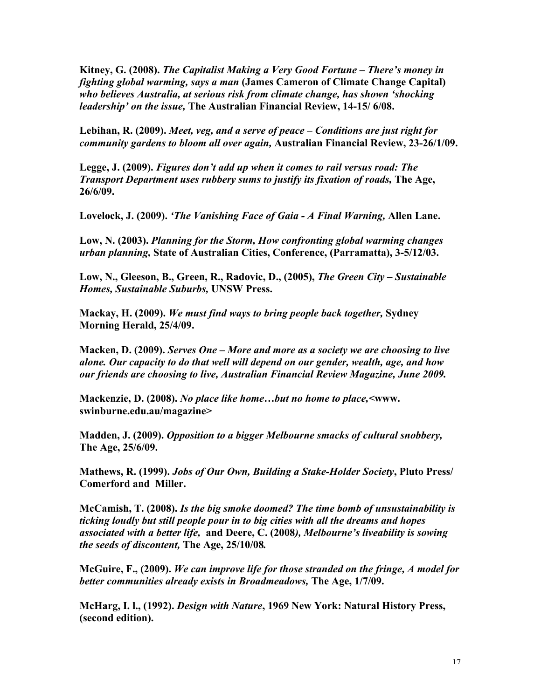Kitney, G. (2008). *The Capitalist Making a Very Good Fortune – There's money in fighting global warming, says a man* (James Cameron of Climate Change Capital) *who believes Australia, at serious risk from climate change, has shown 'shocking leadership' on the issue,* The Australian Financial Review, 14-15/ 6/08.

Lebihan, R. (2009). *Meet, veg, and a serve of peace – Conditions are just right for community gardens to bloom all over again,* Australian Financial Review, 23-26/1/09.

Legge, J. (2009). *Figures don't add up when it comes to rail versus road: The Transport Department uses rubbery sums to justify its fixation of roads,* The Age, 26/6/09.

Lovelock, J. (2009). *'The Vanishing Face of Gaia - A Final Warning,* Allen Lane.

Low, N. (2003). *Planning for the Storm, How confronting global warming changes urban planning,* State of Australian Cities, Conference, (Parramatta), 3-5/12/03.

Low, N., Gleeson, B., Green, R., Radovic, D., (2005), *The Green City – Sustainable Homes, Sustainable Suburbs,* UNSW Press.

Mackay, H. (2009). *We must find ways to bring people back together,* Sydney Morning Herald, 25/4/09.

Macken, D. (2009). *Serves One – More and more as a society we are choosing to live alone. Our capacity to do that well will depend on our gender, wealth, age, and how our friends are choosing to live, Australian Financial Review Magazine, June 2009.*

Mackenzie, D. (2008). *No place like home…but no home to place,<*www. swinburne.edu.au/magazine>

Madden, J. (2009). *Opposition to a bigger Melbourne smacks of cultural snobbery,* The Age, 25/6/09.

Mathews, R. (1999). *Jobs of Our Own, Building a Stake-Holder Society*, Pluto Press/ Comerford and Miller.

McCamish, T. (2008). *Is the big smoke doomed? The time bomb of unsustainability is ticking loudly but still people pour in to big cities with all the dreams and hopes associated with a better life,* and Deere, C. (2008*), Melbourne's liveability is sowing the seeds of discontent,* The Age, 25/10/08*.*

McGuire, F., (2009). *We can improve life for those stranded on the fringe, A model for better communities already exists in Broadmeadows,* The Age, 1/7/09.

McHarg, I. l., (1992). *Design with Nature*, 1969 New York: Natural History Press, (second edition).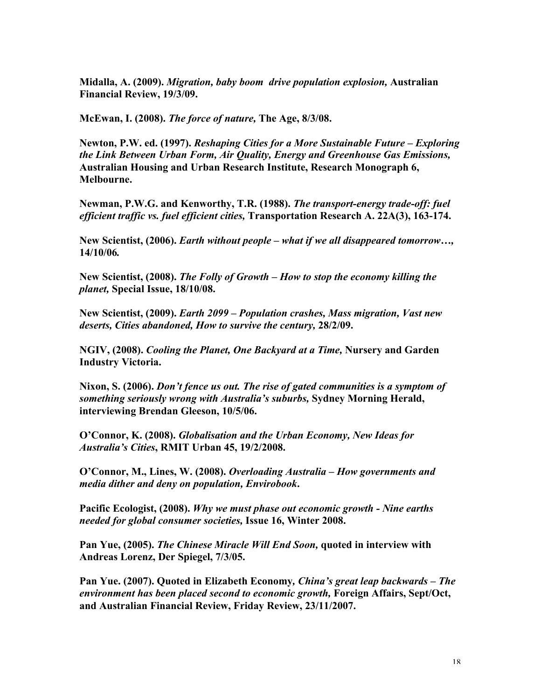Midalla, A. (2009). *Migration, baby boom drive population explosion,* Australian Financial Review, 19/3/09.

McEwan, I. (2008). *The force of nature,* The Age, 8/3/08.

Newton, P.W. ed. (1997). *Reshaping Cities for a More Sustainable Future – Exploring the Link Between Urban Form, Air Quality, Energy and Greenhouse Gas Emissions,* Australian Housing and Urban Research Institute, Research Monograph 6, Melbourne.

Newman, P.W.G. and Kenworthy, T.R. (1988). *The transport-energy trade-off: fuel efficient traffic vs. fuel efficient cities,* Transportation Research A. 22A(3), 163-174.

New Scientist, (2006). *Earth without people – what if we all disappeared tomorrow…,* 14/10/06*.*

New Scientist, (2008). *The Folly of Growth* – *How to stop the economy killing the planet,* Special Issue, 18/10/08.

New Scientist, (2009). *Earth 2099 – Population crashes, Mass migration, Vast new deserts, Cities abandoned, How to survive the century,* 28/2/09.

NGIV, (2008). *Cooling the Planet, One Backyard at a Time,* Nursery and Garden Industry Victoria.

Nixon, S. (2006). *Don't fence us out. The rise of gated communities is a symptom of something seriously wrong with Australia's suburbs,* Sydney Morning Herald, interviewing Brendan Gleeson, 10/5/06.

O'Connor, K. (2008). *Globalisation and the Urban Economy, New Ideas for Australia's Cities*, RMIT Urban 45, 19/2/2008.

O'Connor, M., Lines, W. (2008). *Overloading Australia – How governments and media dither and deny on population, Envirobook*.

Pacific Ecologist, (2008). *Why we must phase out economic growth - Nine earths needed for global consumer societies,* Issue 16, Winter 2008.

Pan Yue, (2005). *The Chinese Miracle Will End Soon,* quoted in interview with Andreas Lorenz, Der Spiegel, 7/3/05.

Pan Yue. (2007). Quoted in Elizabeth Economy*, China's great leap backwards – The environment has been placed second to economic growth,* Foreign Affairs, Sept/Oct, and Australian Financial Review, Friday Review, 23/11/2007.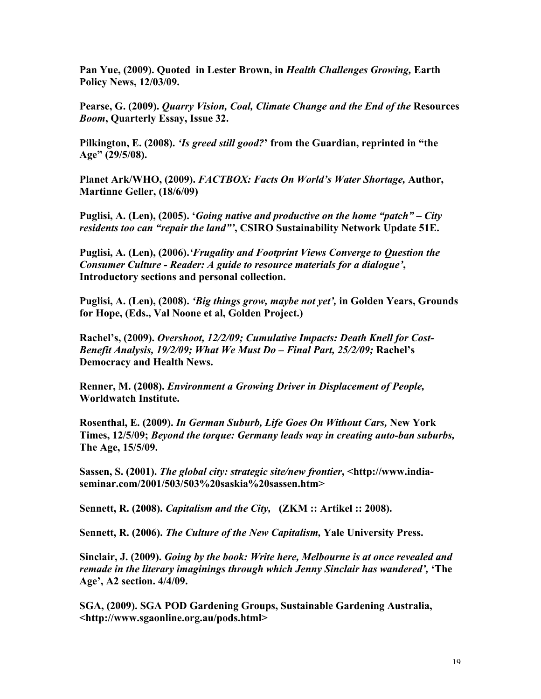Pan Yue, (2009). Quoted in Lester Brown, in *Health Challenges Growing,* Earth Policy News, 12/03/09.

Pearse, G. (2009). *Quarry Vision, Coal, Climate Change and the End of the* Resources *Boom*, Quarterly Essay, Issue 32.

Pilkington, E. (2008). *'Is greed still good?*' from the Guardian, reprinted in "the Age" (29/5/08).

Planet Ark/WHO, (2009). *FACTBOX: Facts On World's Water Shortage,* Author, Martinne Geller, (18/6/09)

Puglisi, A. (Len), (2005). '*Going native and productive on the home "patch" – City residents too can "repair the land"'*, CSIRO Sustainability Network Update 51E.

Puglisi, A. (Len), (2006).*'Frugality and Footprint Views Converge to Question the Consumer Culture - Reader: A guide to resource materials for a dialogue'*, Introductory sections and personal collection.

Puglisi, A. (Len), (2008). *'Big things grow, maybe not yet',* in Golden Years, Grounds for Hope, (Eds., Val Noone et al, Golden Project.)

Rachel's, (2009). *Overshoot, 12/2/09; Cumulative Impacts: Death Knell for Cost-Benefit Analysis, 19/2/09; What We Must Do – Final Part, 25/2/09;* Rachel's Democracy and Health News.

Renner, M. (2008). *Environment a Growing Driver in Displacement of People,* Worldwatch Institute.

Rosenthal, E. (2009). *In German Suburb, Life Goes On Without Cars,* New York Times, 12/5/09; *Beyond the torque: Germany leads way in creating auto-ban suburbs,* The Age, 15/5/09.

Sassen, S. (2001). *The global city: strategic site/new frontier*, <http://www.indiaseminar.com/2001/503/503%20saskia%20sassen.htm>

Sennett, R. (2008). *Capitalism and the City,* (ZKM :: Artikel :: 2008).

Sennett, R. (2006). *The Culture of the New Capitalism,* Yale University Press.

Sinclair, J. (2009). *Going by the book: Write here, Melbourne is at once revealed and remade in the literary imaginings through which Jenny Sinclair has wandered',* 'The Age', A2 section. 4/4/09.

SGA, (2009). SGA POD Gardening Groups, Sustainable Gardening Australia, <http://www.sgaonline.org.au/pods.html>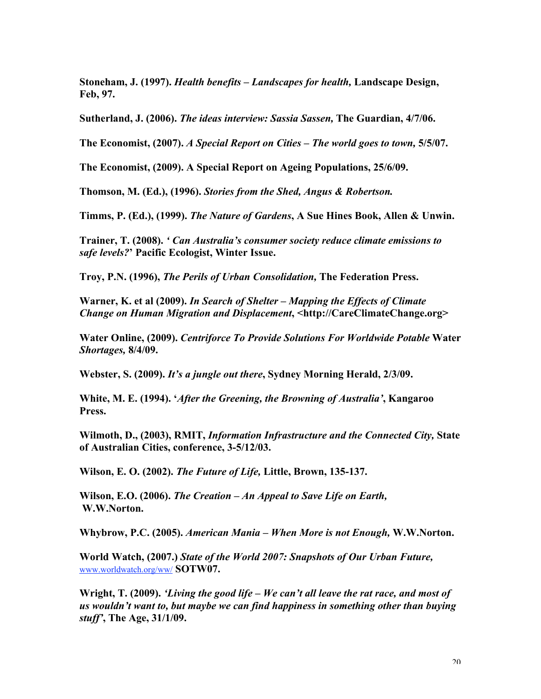Stoneham, J. (1997). *Health benefits – Landscapes for health,* Landscape Design, Feb, 97.

Sutherland, J. (2006). *The ideas interview: Sassia Sassen,* The Guardian, 4/7/06.

The Economist, (2007). *A Special Report on Cities – The world goes to town,* 5/5/07.

The Economist, (2009). A Special Report on Ageing Populations, 25/6/09.

Thomson, M. (Ed.), (1996). *Stories from the Shed, Angus & Robertson.*

Timms, P. (Ed.), (1999). *The Nature of Gardens*, A Sue Hines Book, Allen & Unwin.

Trainer, T. (2008). *' Can Australia's consumer society reduce climate emissions to safe levels?*' Pacific Ecologist, Winter Issue.

Troy, P.N. (1996), *The Perils of Urban Consolidation,* The Federation Press.

Warner, K. et al (2009). *In Search of Shelter – Mapping the Effects of Climate Change on Human Migration and Displacement*, <http://CareClimateChange.org>

Water Online, (2009). *Centriforce To Provide Solutions For Worldwide Potable* Water *Shortages,* 8/4/09.

Webster, S. (2009). *It's a jungle out there*, Sydney Morning Herald, 2/3/09.

White, M. E. (1994). '*After the Greening, the Browning of Australia'*, Kangaroo Press.

Wilmoth, D., (2003), RMIT, *Information Infrastructure and the Connected City,* State of Australian Cities, conference, 3-5/12/03.

Wilson, E. O. (2002). *The Future of Life,* Little, Brown, 135-137.

Wilson, E.O. (2006). *The Creation – An Appeal to Save Life on Earth,* W.W.Norton.

Whybrow, P.C. (2005). *American Mania – When More is not Enough,* W.W.Norton.

World Watch, (2007.) *State of the World 2007: Snapshots of Our Urban Future,* www.worldwatch.org/ww/ SOTW07.

Wright, T. (2009). *'Living the good life – We can't all leave the rat race, and most of us wouldn't want to, but maybe we can find happiness in something other than buying stuff'*, The Age, 31/1/09.